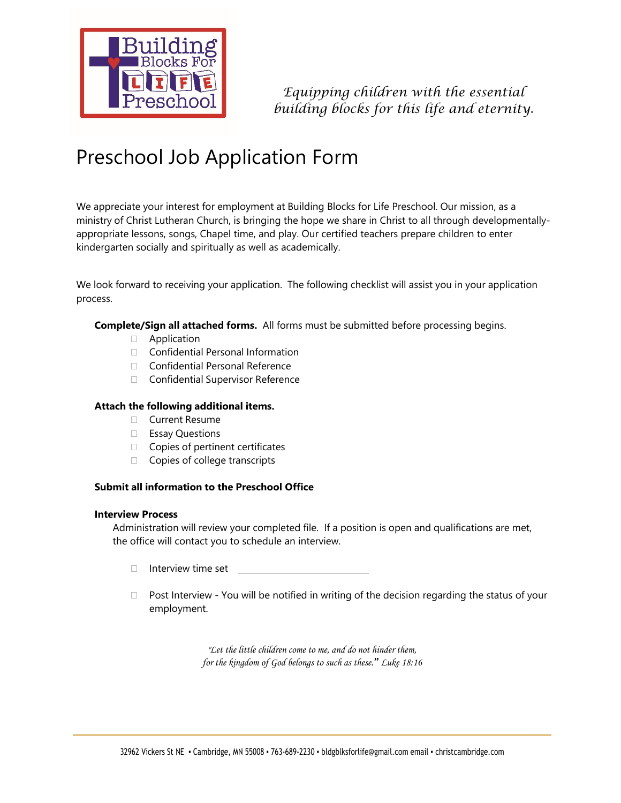

*Equipping children with the essential building blocks for this life and eternity.* 

# Preschool Job Application Form

We appreciate your interest for employment at Building Blocks for Life Preschool. Our mission, as a ministry of Christ Lutheran Church, is bringing the hope we share in Christ to all through developmentallyappropriate lessons, songs, Chapel time, and play. Our certified teachers prepare children to enter kindergarten socially and spiritually as well as academically.

We look forward to receiving your application. The following checklist will assist you in your application process.

# **Complete/Sign all attached forms.** All forms must be submitted before processing begins.

- **E** Application
- □ Confidential Personal Information
- □ Confidential Personal Reference
- □ Confidential Supervisor Reference

# **Attach the following additional items.**

- Current Resume
- □ Essay Questions
- $\Box$  Copies of pertinent certificates
- □ Copies of college transcripts

# **Submit all information to the Preschool Office**

#### **Interview Process**

Administration will review your completed file. If a position is open and qualifications are met, the office will contact you to schedule an interview.

- $\Box$  Interview time set  $\Box$
- $\Box$  Post Interview You will be notified in writing of the decision regarding the status of your employment.

*"Let the little children come to me, and do not hinder them, for the kingdom of God belongs to such as these." Luke 18:16*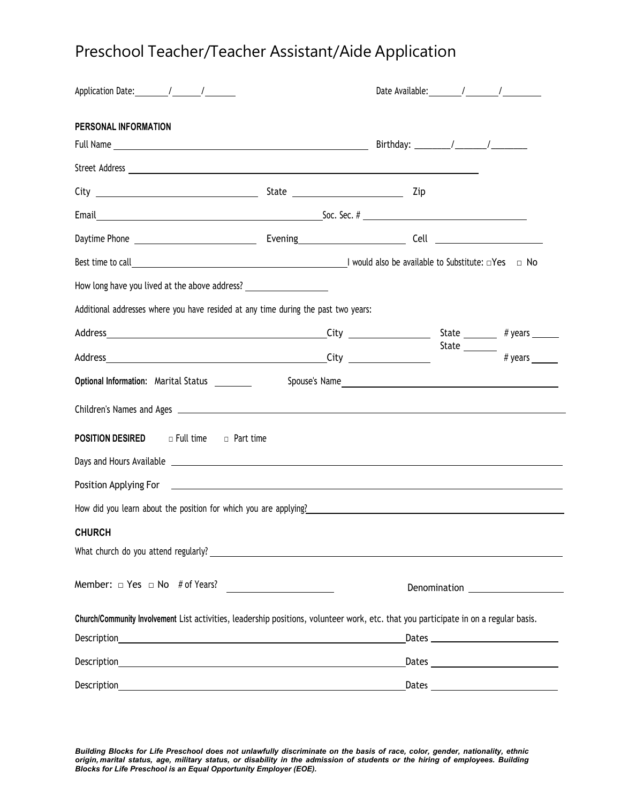# Preschool Teacher/Teacher Assistant/Aide Application

| Application Date: \[\squad \] \]                                                                                                                                                                 |                                              |               |                                                                                                                                                                                                                                                                                                                                                                                                                              |
|--------------------------------------------------------------------------------------------------------------------------------------------------------------------------------------------------|----------------------------------------------|---------------|------------------------------------------------------------------------------------------------------------------------------------------------------------------------------------------------------------------------------------------------------------------------------------------------------------------------------------------------------------------------------------------------------------------------------|
| PERSONAL INFORMATION                                                                                                                                                                             |                                              |               |                                                                                                                                                                                                                                                                                                                                                                                                                              |
|                                                                                                                                                                                                  |                                              |               |                                                                                                                                                                                                                                                                                                                                                                                                                              |
|                                                                                                                                                                                                  |                                              |               |                                                                                                                                                                                                                                                                                                                                                                                                                              |
| Email <b>Email Email Email Email Email Example 2 order to 2 order the 2 order to 2 order the 2 order to 2 order to 2 order to 2 order to 2 order to 2 order to 2 order to 2 order to 2 order</b> |                                              |               |                                                                                                                                                                                                                                                                                                                                                                                                                              |
|                                                                                                                                                                                                  |                                              |               |                                                                                                                                                                                                                                                                                                                                                                                                                              |
| Best time to call $\Box$ No                                                                                                                                                                      |                                              |               |                                                                                                                                                                                                                                                                                                                                                                                                                              |
| How long have you lived at the above address? __________________________________                                                                                                                 |                                              |               |                                                                                                                                                                                                                                                                                                                                                                                                                              |
| Additional addresses where you have resided at any time during the past two years:                                                                                                               |                                              |               |                                                                                                                                                                                                                                                                                                                                                                                                                              |
|                                                                                                                                                                                                  |                                              |               |                                                                                                                                                                                                                                                                                                                                                                                                                              |
|                                                                                                                                                                                                  |                                              |               | State $\frac{1}{\sqrt{1+\frac{1}{\sqrt{1+\frac{1}{\sqrt{1+\frac{1}{\sqrt{1+\frac{1}{\sqrt{1+\frac{1}{\sqrt{1+\frac{1}{\sqrt{1+\frac{1}{\sqrt{1+\frac{1}{\sqrt{1+\frac{1}{\sqrt{1+\frac{1}{\sqrt{1+\frac{1}{\sqrt{1+\frac{1}{\sqrt{1+\frac{1}{\sqrt{1+\frac{1}{\sqrt{1+\frac{1}{\sqrt{1+\frac{1}{\sqrt{1+\frac{1}{\sqrt{1+\frac{1}{\sqrt{1+\frac{1}{1+\frac{1}{\sqrt{1+\frac{1}{1+\frac{1}{\sqrt{1+\frac{1}{1+\frac{1}{\sqrt$ |
| Optional Information: Marital Status ________                                                                                                                                                    |                                              | Spouse's Name |                                                                                                                                                                                                                                                                                                                                                                                                                              |
|                                                                                                                                                                                                  |                                              |               |                                                                                                                                                                                                                                                                                                                                                                                                                              |
| <b>POSITION DESIRED D</b> Full time <b>D</b> Part time                                                                                                                                           |                                              |               |                                                                                                                                                                                                                                                                                                                                                                                                                              |
|                                                                                                                                                                                                  |                                              |               |                                                                                                                                                                                                                                                                                                                                                                                                                              |
|                                                                                                                                                                                                  |                                              |               |                                                                                                                                                                                                                                                                                                                                                                                                                              |
| How did you learn about the position for which you are applying?                                                                                                                                 |                                              |               |                                                                                                                                                                                                                                                                                                                                                                                                                              |
| <b>CHURCH</b>                                                                                                                                                                                    |                                              |               |                                                                                                                                                                                                                                                                                                                                                                                                                              |
|                                                                                                                                                                                                  |                                              |               |                                                                                                                                                                                                                                                                                                                                                                                                                              |
| Member: $\Box$ Yes $\Box$ No # of Years?                                                                                                                                                         | the control of the control of the control of |               |                                                                                                                                                                                                                                                                                                                                                                                                                              |
| Church/Community Involvement List activities, leadership positions, volunteer work, etc. that you participate in on a regular basis.                                                             |                                              |               |                                                                                                                                                                                                                                                                                                                                                                                                                              |
|                                                                                                                                                                                                  |                                              |               | Dates $\overline{\phantom{a}}$                                                                                                                                                                                                                                                                                                                                                                                               |
|                                                                                                                                                                                                  |                                              |               |                                                                                                                                                                                                                                                                                                                                                                                                                              |
| Description                                                                                                                                                                                      |                                              | Dates         |                                                                                                                                                                                                                                                                                                                                                                                                                              |

*Building Blocks for Life Preschool does not unlawfully discriminate on the basis of race, color, gender, nationality, ethnic origin, marital status, age, military status, or disability in the admission of students or the hiring of employees. Building Blocks for Life Preschool is an Equal Opportunity Employer (EOE).*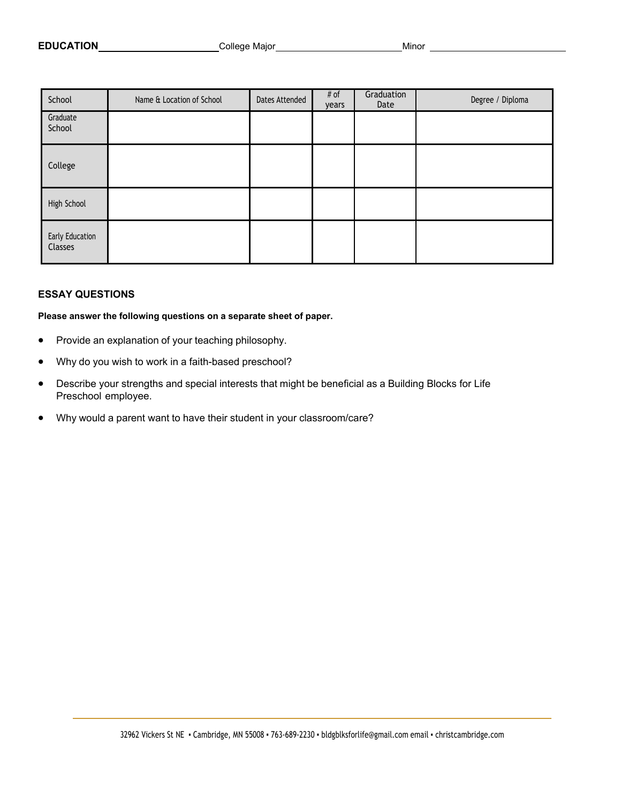| School                     | Name & Location of School | Dates Attended | # of<br>years | Graduation<br>Date | Degree / Diploma |
|----------------------------|---------------------------|----------------|---------------|--------------------|------------------|
| Graduate<br>School         |                           |                |               |                    |                  |
| College                    |                           |                |               |                    |                  |
| High School                |                           |                |               |                    |                  |
| Early Education<br>Classes |                           |                |               |                    |                  |

#### **ESSAY QUESTIONS**

**Please answer the following questions on a separate sheet of paper.** 

- Provide an explanation of your teaching philosophy.
- Why do you wish to work in a faith-based preschool?
- Describe your strengths and special interests that might be beneficial as a Building Blocks for Life Preschool employee.
- Why would a parent want to have their student in your classroom/care?